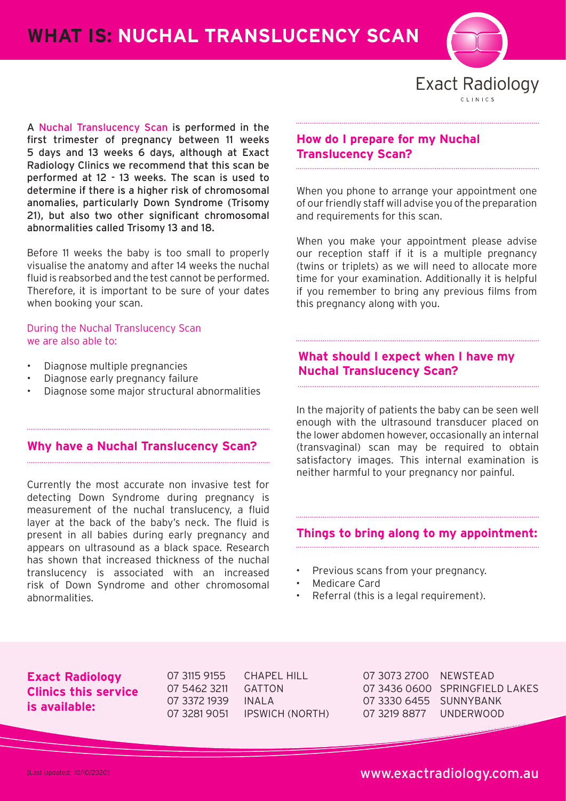**WHAT IS: NUCHAL TRANSLUCENCY SCAN**



**Exact Radiology** 

A Nuchal Translucency Scan is performed in the first trimester of pregnancy between 11 weeks 5 days and 13 weeks 6 days, although at Exact Radiology Clinics we recommend that this scan be performed at 12 - 13 weeks. The scan is used to determine if there is a higher risk of chromosomal anomalies, particularly Down Syndrome (Trisomy 21), but also two other significant chromosomal abnormalities called Trisomy 13 and 18.

Before 11 weeks the baby is too small to properly visualise the anatomy and after 14 weeks the nuchal fluid is reabsorbed and the test cannot be performed. Therefore, it is important to be sure of your dates when booking your scan.

During the Nuchal Translucency Scan we are also able to:

- Diagnose multiple pregnancies
- Diagnose early pregnancy failure
- Diagnose some major structural abnormalities

### **Why have a Nuchal Translucency Scan?**

Currently the most accurate non invasive test for detecting Down Syndrome during pregnancy is measurement of the nuchal translucency, a fluid layer at the back of the baby's neck. The fluid is present in all babies during early pregnancy and appears on ultrasound as a black space. Research has shown that increased thickness of the nuchal translucency is associated with an increased risk of Down Syndrome and other chromosomal abnormalities.

### **How do I prepare for my Nuchal Translucency Scan?**

When you phone to arrange your appointment one of our friendly staff will advise you of the preparation and requirements for this scan.

When you make your appointment please advise our reception staff if it is a multiple pregnancy (twins or triplets) as we will need to allocate more time for your examination. Additionally it is helpful if you remember to bring any previous films from this pregnancy along with you.

### **What should I expect when I have my Nuchal Translucency Scan?**

In the majority of patients the baby can be seen well enough with the ultrasound transducer placed on the lower abdomen however, occasionally an internal (transvaginal) scan may be required to obtain satisfactory images. This internal examination is neither harmful to your pregnancy nor painful.

#### **Things to bring along to my appointment:**

- Previous scans from your pregnancy.
- Medicare Card
- Referral (this is a legal requirement).

### **Exact Radiology Clinics this service is available:**

07 5462 3211 GATTON 07 3372 1939 INALA

07 3115 9155 CHAPEL HILL 07 3281 9051 IPSWICH (NORTH) 07 3073 2700 NEWSTEAD 07 3436 0600 SPRINGFIELD LAKES 07 3330 6455 SUNNYBANK 07 3219 8877 UNDERWOOD

[Last Updated: 10/10/2020] www.exactradiology.com.au